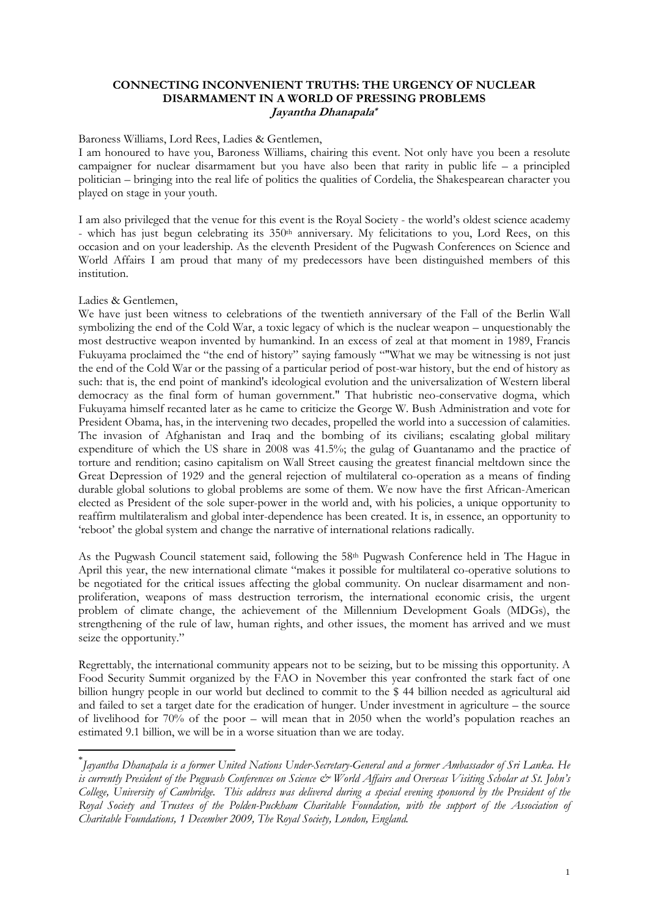## **CONNECTING INCONVENIENT TRUTHS: THE URGENCY OF NUCLEAR DISARMAMENT IN A WORLD OF PRESSING PROBLEMS Jayantha Dhanapala\***

## Baroness Williams, Lord Rees, Ladies & Gentlemen,

I am honoured to have you, Baroness Williams, chairing this event. Not only have you been a resolute campaigner for nuclear disarmament but you have also been that rarity in public life – a principled politician – bringing into the real life of politics the qualities of Cordelia, the Shakespearean character you played on stage in your youth.

I am also privileged that the venue for this event is the Royal Society - the world's oldest science academy - which has just begun celebrating its 350th anniversary. My felicitations to you, Lord Rees, on this occasion and on your leadership. As the eleventh President of the Pugwash Conferences on Science and World Affairs I am proud that many of my predecessors have been distinguished members of this institution.

## Ladies & Gentlemen,

 $\overline{a}$ 

We have just been witness to celebrations of the twentieth anniversary of the Fall of the Berlin Wall symbolizing the end of the Cold War, a toxic legacy of which is the nuclear weapon – unquestionably the most destructive weapon invented by humankind. In an excess of zeal at that moment in 1989, Francis Fukuyama proclaimed the "the end of history" saying famously ""What we may be witnessing is not just the end of the Cold War or the passing of a particular period of post-war history, but the end of history as such: that is, the end point of mankind's ideological evolution and the universalization of Western liberal democracy as the final form of human government." That hubristic neo-conservative dogma, which Fukuyama himself recanted later as he came to criticize the George W. Bush Administration and vote for President Obama, has, in the intervening two decades, propelled the world into a succession of calamities. The invasion of Afghanistan and Iraq and the bombing of its civilians; escalating global military expenditure of which the US share in 2008 was 41.5%; the gulag of Guantanamo and the practice of torture and rendition; casino capitalism on Wall Street causing the greatest financial meltdown since the Great Depression of 1929 and the general rejection of multilateral co-operation as a means of finding durable global solutions to global problems are some of them. We now have the first African-American elected as President of the sole super-power in the world and, with his policies, a unique opportunity to reaffirm multilateralism and global inter-dependence has been created. It is, in essence, an opportunity to 'reboot' the global system and change the narrative of international relations radically.

As the Pugwash Council statement said, following the 58<sup>th</sup> Pugwash Conference held in The Hague in April this year, the new international climate "makes it possible for multilateral co-operative solutions to be negotiated for the critical issues affecting the global community. On nuclear disarmament and nonproliferation, weapons of mass destruction terrorism, the international economic crisis, the urgent problem of climate change, the achievement of the Millennium Development Goals (MDGs), the strengthening of the rule of law, human rights, and other issues, the moment has arrived and we must seize the opportunity."

Regrettably, the international community appears not to be seizing, but to be missing this opportunity. A Food Security Summit organized by the FAO in November this year confronted the stark fact of one billion hungry people in our world but declined to commit to the \$ 44 billion needed as agricultural aid and failed to set a target date for the eradication of hunger. Under investment in agriculture – the source of livelihood for 70% of the poor – will mean that in 2050 when the world's population reaches an estimated 9.1 billion, we will be in a worse situation than we are today.

<sup>\*</sup> *Jayantha Dhanapala is a former United Nations Under-Secretary-General and a former Ambassador of Sri Lanka. He is currently President of the Pugwash Conferences on Science & World Affairs and Overseas Visiting Scholar at St. John's College, University of Cambridge. This address was delivered during a special evening sponsored by the President of the*  Royal Society and Trustees of the Polden-Puckham Charitable Foundation, with the support of the Association of *Charitable Foundations, 1 December 2009, The Royal Society, London, England.*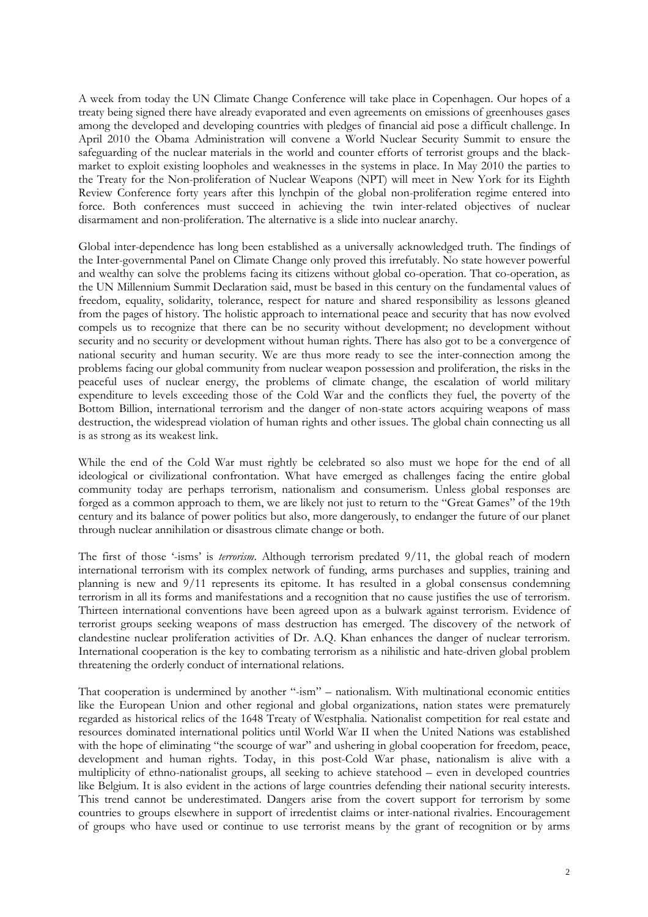A week from today the UN Climate Change Conference will take place in Copenhagen. Our hopes of a treaty being signed there have already evaporated and even agreements on emissions of greenhouses gases among the developed and developing countries with pledges of financial aid pose a difficult challenge. In April 2010 the Obama Administration will convene a World Nuclear Security Summit to ensure the safeguarding of the nuclear materials in the world and counter efforts of terrorist groups and the blackmarket to exploit existing loopholes and weaknesses in the systems in place. In May 2010 the parties to the Treaty for the Non-proliferation of Nuclear Weapons (NPT) will meet in New York for its Eighth Review Conference forty years after this lynchpin of the global non-proliferation regime entered into force. Both conferences must succeed in achieving the twin inter-related objectives of nuclear disarmament and non-proliferation. The alternative is a slide into nuclear anarchy.

Global inter-dependence has long been established as a universally acknowledged truth. The findings of the Inter-governmental Panel on Climate Change only proved this irrefutably. No state however powerful and wealthy can solve the problems facing its citizens without global co-operation. That co-operation, as the UN Millennium Summit Declaration said, must be based in this century on the fundamental values of freedom, equality, solidarity, tolerance, respect for nature and shared responsibility as lessons gleaned from the pages of history. The holistic approach to international peace and security that has now evolved compels us to recognize that there can be no security without development; no development without security and no security or development without human rights. There has also got to be a convergence of national security and human security. We are thus more ready to see the inter-connection among the problems facing our global community from nuclear weapon possession and proliferation, the risks in the peaceful uses of nuclear energy, the problems of climate change, the escalation of world military expenditure to levels exceeding those of the Cold War and the conflicts they fuel, the poverty of the Bottom Billion, international terrorism and the danger of non-state actors acquiring weapons of mass destruction, the widespread violation of human rights and other issues. The global chain connecting us all is as strong as its weakest link.

While the end of the Cold War must rightly be celebrated so also must we hope for the end of all ideological or civilizational confrontation. What have emerged as challenges facing the entire global community today are perhaps terrorism, nationalism and consumerism. Unless global responses are forged as a common approach to them, we are likely not just to return to the "Great Games" of the 19th century and its balance of power politics but also, more dangerously, to endanger the future of our planet through nuclear annihilation or disastrous climate change or both.

The first of those '-isms' is *terrorism*. Although terrorism predated 9/11, the global reach of modern international terrorism with its complex network of funding, arms purchases and supplies, training and planning is new and 9/11 represents its epitome. It has resulted in a global consensus condemning terrorism in all its forms and manifestations and a recognition that no cause justifies the use of terrorism. Thirteen international conventions have been agreed upon as a bulwark against terrorism. Evidence of terrorist groups seeking weapons of mass destruction has emerged. The discovery of the network of clandestine nuclear proliferation activities of Dr. A.Q. Khan enhances the danger of nuclear terrorism. International cooperation is the key to combating terrorism as a nihilistic and hate-driven global problem threatening the orderly conduct of international relations.

That cooperation is undermined by another "-ism" – nationalism. With multinational economic entities like the European Union and other regional and global organizations, nation states were prematurely regarded as historical relics of the 1648 Treaty of Westphalia. Nationalist competition for real estate and resources dominated international politics until World War II when the United Nations was established with the hope of eliminating "the scourge of war" and ushering in global cooperation for freedom, peace, development and human rights. Today, in this post-Cold War phase, nationalism is alive with a multiplicity of ethno-nationalist groups, all seeking to achieve statehood – even in developed countries like Belgium. It is also evident in the actions of large countries defending their national security interests. This trend cannot be underestimated. Dangers arise from the covert support for terrorism by some countries to groups elsewhere in support of irredentist claims or inter-national rivalries. Encouragement of groups who have used or continue to use terrorist means by the grant of recognition or by arms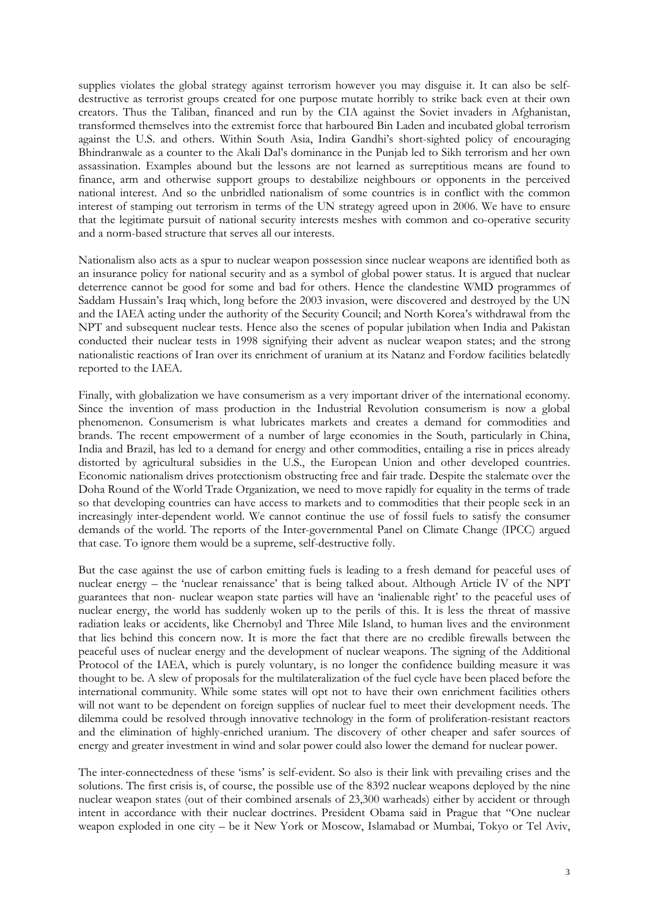supplies violates the global strategy against terrorism however you may disguise it. It can also be selfdestructive as terrorist groups created for one purpose mutate horribly to strike back even at their own creators. Thus the Taliban, financed and run by the CIA against the Soviet invaders in Afghanistan, transformed themselves into the extremist force that harboured Bin Laden and incubated global terrorism against the U.S. and others. Within South Asia, Indira Gandhi's short-sighted policy of encouraging Bhindranwale as a counter to the Akali Dal's dominance in the Punjab led to Sikh terrorism and her own assassination. Examples abound but the lessons are not learned as surreptitious means are found to finance, arm and otherwise support groups to destabilize neighbours or opponents in the perceived national interest. And so the unbridled nationalism of some countries is in conflict with the common interest of stamping out terrorism in terms of the UN strategy agreed upon in 2006. We have to ensure that the legitimate pursuit of national security interests meshes with common and co-operative security and a norm-based structure that serves all our interests.

Nationalism also acts as a spur to nuclear weapon possession since nuclear weapons are identified both as an insurance policy for national security and as a symbol of global power status. It is argued that nuclear deterrence cannot be good for some and bad for others. Hence the clandestine WMD programmes of Saddam Hussain's Iraq which, long before the 2003 invasion, were discovered and destroyed by the UN and the IAEA acting under the authority of the Security Council; and North Korea's withdrawal from the NPT and subsequent nuclear tests. Hence also the scenes of popular jubilation when India and Pakistan conducted their nuclear tests in 1998 signifying their advent as nuclear weapon states; and the strong nationalistic reactions of Iran over its enrichment of uranium at its Natanz and Fordow facilities belatedly reported to the IAEA.

Finally, with globalization we have consumerism as a very important driver of the international economy. Since the invention of mass production in the Industrial Revolution consumerism is now a global phenomenon. Consumerism is what lubricates markets and creates a demand for commodities and brands. The recent empowerment of a number of large economies in the South, particularly in China, India and Brazil, has led to a demand for energy and other commodities, entailing a rise in prices already distorted by agricultural subsidies in the U.S., the European Union and other developed countries. Economic nationalism drives protectionism obstructing free and fair trade. Despite the stalemate over the Doha Round of the World Trade Organization, we need to move rapidly for equality in the terms of trade so that developing countries can have access to markets and to commodities that their people seek in an increasingly inter-dependent world. We cannot continue the use of fossil fuels to satisfy the consumer demands of the world. The reports of the Inter-governmental Panel on Climate Change (IPCC) argued that case. To ignore them would be a supreme, self-destructive folly.

But the case against the use of carbon emitting fuels is leading to a fresh demand for peaceful uses of nuclear energy – the 'nuclear renaissance' that is being talked about. Although Article IV of the NPT guarantees that non- nuclear weapon state parties will have an 'inalienable right' to the peaceful uses of nuclear energy, the world has suddenly woken up to the perils of this. It is less the threat of massive radiation leaks or accidents, like Chernobyl and Three Mile Island, to human lives and the environment that lies behind this concern now. It is more the fact that there are no credible firewalls between the peaceful uses of nuclear energy and the development of nuclear weapons. The signing of the Additional Protocol of the IAEA, which is purely voluntary, is no longer the confidence building measure it was thought to be. A slew of proposals for the multilateralization of the fuel cycle have been placed before the international community. While some states will opt not to have their own enrichment facilities others will not want to be dependent on foreign supplies of nuclear fuel to meet their development needs. The dilemma could be resolved through innovative technology in the form of proliferation-resistant reactors and the elimination of highly-enriched uranium. The discovery of other cheaper and safer sources of energy and greater investment in wind and solar power could also lower the demand for nuclear power.

The inter-connectedness of these 'isms' is self-evident. So also is their link with prevailing crises and the solutions. The first crisis is, of course, the possible use of the 8392 nuclear weapons deployed by the nine nuclear weapon states (out of their combined arsenals of 23,300 warheads) either by accident or through intent in accordance with their nuclear doctrines. President Obama said in Prague that "One nuclear weapon exploded in one city – be it New York or Moscow, Islamabad or Mumbai, Tokyo or Tel Aviv,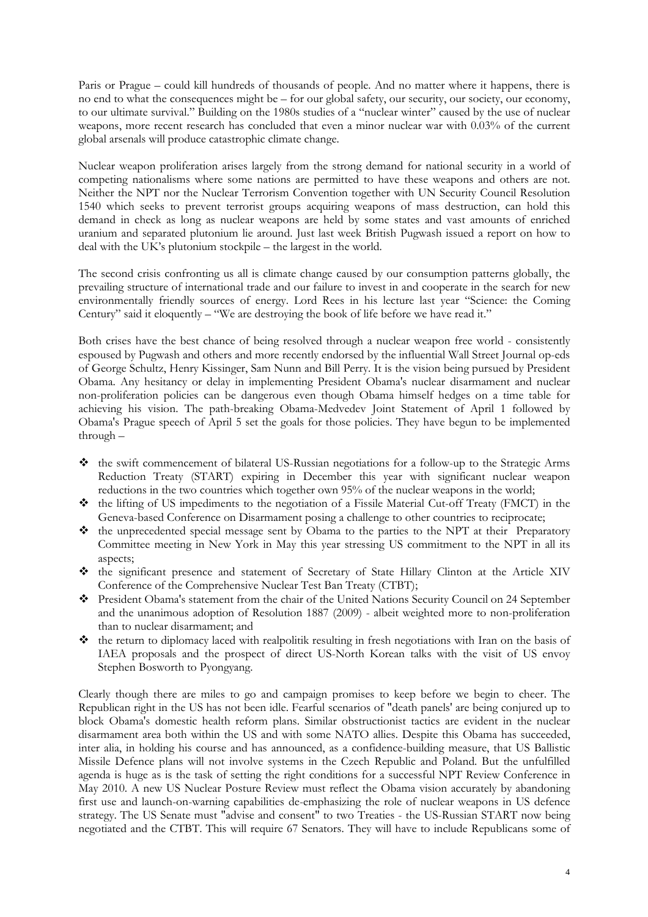Paris or Prague – could kill hundreds of thousands of people. And no matter where it happens, there is no end to what the consequences might be – for our global safety, our security, our society, our economy, to our ultimate survival." Building on the 1980s studies of a "nuclear winter" caused by the use of nuclear weapons, more recent research has concluded that even a minor nuclear war with 0.03% of the current global arsenals will produce catastrophic climate change.

Nuclear weapon proliferation arises largely from the strong demand for national security in a world of competing nationalisms where some nations are permitted to have these weapons and others are not. Neither the NPT nor the Nuclear Terrorism Convention together with UN Security Council Resolution 1540 which seeks to prevent terrorist groups acquiring weapons of mass destruction, can hold this demand in check as long as nuclear weapons are held by some states and vast amounts of enriched uranium and separated plutonium lie around. Just last week British Pugwash issued a report on how to deal with the UK's plutonium stockpile – the largest in the world.

The second crisis confronting us all is climate change caused by our consumption patterns globally, the prevailing structure of international trade and our failure to invest in and cooperate in the search for new environmentally friendly sources of energy. Lord Rees in his lecture last year "Science: the Coming Century" said it eloquently – "We are destroying the book of life before we have read it."

Both crises have the best chance of being resolved through a nuclear weapon free world - consistently espoused by Pugwash and others and more recently endorsed by the influential Wall Street Journal op-eds of George Schultz, Henry Kissinger, Sam Nunn and Bill Perry. It is the vision being pursued by President Obama. Any hesitancy or delay in implementing President Obama's nuclear disarmament and nuclear non-proliferation policies can be dangerous even though Obama himself hedges on a time table for achieving his vision. The path-breaking Obama-Medvedev Joint Statement of April 1 followed by Obama's Prague speech of April 5 set the goals for those policies. They have begun to be implemented through –

- the swift commencement of bilateral US-Russian negotiations for a follow-up to the Strategic Arms Reduction Treaty (START) expiring in December this year with significant nuclear weapon reductions in the two countries which together own 95% of the nuclear weapons in the world;
- the lifting of US impediments to the negotiation of a Fissile Material Cut-off Treaty (FMCT) in the Geneva-based Conference on Disarmament posing a challenge to other countries to reciprocate;
- \* the unprecedented special message sent by Obama to the parties to the NPT at their Preparatory Committee meeting in New York in May this year stressing US commitment to the NPT in all its aspects;
- the significant presence and statement of Secretary of State Hillary Clinton at the Article XIV Conference of the Comprehensive Nuclear Test Ban Treaty (CTBT);
- President Obama's statement from the chair of the United Nations Security Council on 24 September and the unanimous adoption of Resolution 1887 (2009) - albeit weighted more to non-proliferation than to nuclear disarmament; and
- the return to diplomacy laced with realpolitik resulting in fresh negotiations with Iran on the basis of IAEA proposals and the prospect of direct US-North Korean talks with the visit of US envoy Stephen Bosworth to Pyongyang.

Clearly though there are miles to go and campaign promises to keep before we begin to cheer. The Republican right in the US has not been idle. Fearful scenarios of "death panels' are being conjured up to block Obama's domestic health reform plans. Similar obstructionist tactics are evident in the nuclear disarmament area both within the US and with some NATO allies. Despite this Obama has succeeded, inter alia, in holding his course and has announced, as a confidence-building measure, that US Ballistic Missile Defence plans will not involve systems in the Czech Republic and Poland. But the unfulfilled agenda is huge as is the task of setting the right conditions for a successful NPT Review Conference in May 2010. A new US Nuclear Posture Review must reflect the Obama vision accurately by abandoning first use and launch-on-warning capabilities de-emphasizing the role of nuclear weapons in US defence strategy. The US Senate must "advise and consent" to two Treaties - the US-Russian START now being negotiated and the CTBT. This will require 67 Senators. They will have to include Republicans some of